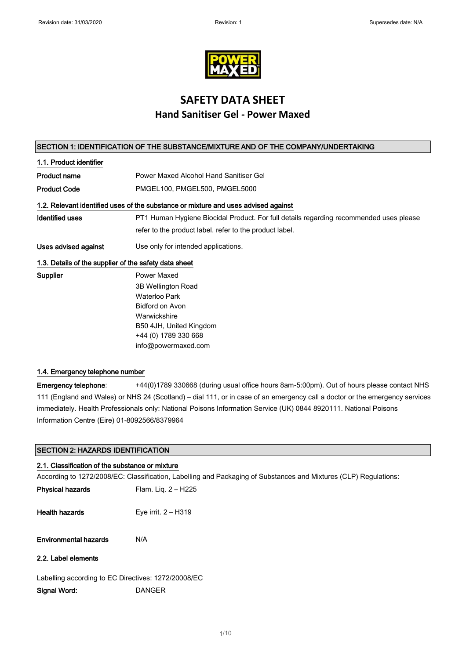

# **SAFETY DATA SHEET Hand Sanitiser Gel - Power Maxed**

## SECTION 1: IDENTIFICATION OF THE SUBSTANCE/MIXTURE AND OF THE COMPANY/UNDERTAKING

+44 (0) 1789 330 668 [info@powermaxed.com](mailto:info@powermaxed.com)

| 1.1. Product identifier                               |                                                                                        |  |
|-------------------------------------------------------|----------------------------------------------------------------------------------------|--|
| Product name                                          | Power Maxed Alcohol Hand Sanitiser Gel                                                 |  |
| <b>Product Code</b>                                   | PMGEL100, PMGEL500, PMGEL5000                                                          |  |
|                                                       | 1.2. Relevant identified uses of the substance or mixture and uses advised against     |  |
| Identified uses                                       | PT1 Human Hygiene Biocidal Product. For full details regarding recommended uses please |  |
|                                                       | refer to the product label, refer to the product label.                                |  |
| Uses advised against                                  | Use only for intended applications.                                                    |  |
| 1.3. Details of the supplier of the safety data sheet |                                                                                        |  |
| Supplier                                              | Power Maxed                                                                            |  |
|                                                       | 3B Wellington Road                                                                     |  |
|                                                       | Waterloo Park                                                                          |  |
|                                                       | Bidford on Avon                                                                        |  |
|                                                       | Warwickshire                                                                           |  |
|                                                       | B50 4JH, United Kingdom                                                                |  |

## 1.4. Emergency telephone number

Emergency telephone: +44(0)1789 330668 (during usual office hours 8am-5:00pm). Out of hours please contact NHS 111 (England and Wales) or NHS 24 (Scotland) – dial 111, or in case of an emergency call a doctor or the emergency services immediately. Health Professionals only: National Poisons Information Service (UK) 0844 8920111. National Poisons Information Centre (Eire) 01-8092566/8379964

### SECTION 2: HAZARDS IDENTIFICATION

#### 2.1. Classification of the substance or mixture

According to 1272/2008/EC: Classification, Labelling and Packaging of Substances and Mixtures (CLP) Regulations:

| Physical hazards | Flam. Lig. 2 – H225   |
|------------------|-----------------------|
| Health hazards   | Eye irrit. $2 - H319$ |

Environmental hazards N/A

## 2.2. Label elements

Labelling according to EC Directives: 1272/20008/EC

Signal Word: DANGER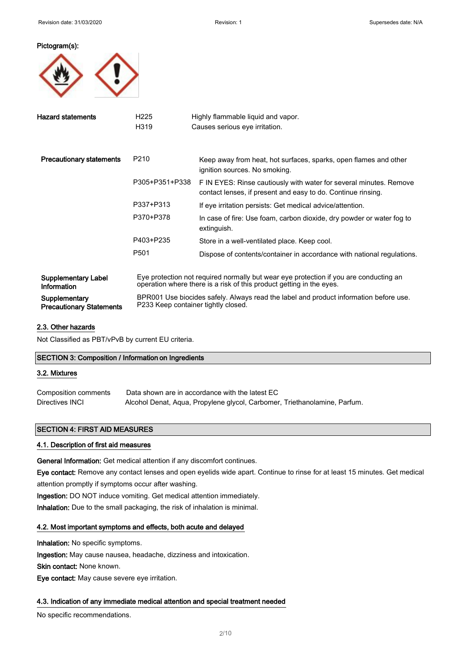#### Pictogram(s):



| <b>Hazard statements</b>                         | H <sub>225</sub> | Highly flammable liquid and vapor.                                                                                                                            |
|--------------------------------------------------|------------------|---------------------------------------------------------------------------------------------------------------------------------------------------------------|
|                                                  | H319             | Causes serious eye irritation.                                                                                                                                |
| <b>Precautionary statements</b>                  | P <sub>210</sub> | Keep away from heat, hot surfaces, sparks, open flames and other<br>ignition sources. No smoking.                                                             |
|                                                  | P305+P351+P338   | F IN EYES: Rinse cautiously with water for several minutes. Remove<br>contact lenses, if present and easy to do. Continue rinsing.                            |
|                                                  | P337+P313        | If eye irritation persists: Get medical advice/attention.                                                                                                     |
|                                                  | P370+P378        | In case of fire: Use foam, carbon dioxide, dry powder or water fog to<br>extinguish.                                                                          |
|                                                  | P403+P235        | Store in a well-ventilated place. Keep cool.                                                                                                                  |
|                                                  | P501             | Dispose of contents/container in accordance with national regulations.                                                                                        |
| <b>Supplementary Label</b><br>Information        |                  | Eye protection not required normally but wear eye protection if you are conducting an<br>operation where there is a risk of this product getting in the eyes. |
| Supplementary<br><b>Precautionary Statements</b> |                  | BPR001 Use biocides safely. Always read the label and product information before use.<br>P233 Keep container tightly closed.                                  |

#### 2.3. Other hazards

Not Classified as PBT/vPvB by current EU criteria.

## SECTION 3: Composition / Information on Ingredients

### 3.2. Mixtures

| Composition comments | Data shown are in accordance with the latest EC                           |
|----------------------|---------------------------------------------------------------------------|
| Directives INCI      | Alcohol Denat, Aqua, Propylene glycol, Carbomer, Triethanolamine, Parfum. |

## SECTION 4: FIRST AID MEASURES

#### 4.1. Description of first aid measures

General Information: Get medical attention if any discomfort continues.

Eye contact: Remove any contact lenses and open eyelids wide apart. Continue to rinse for at least 15 minutes. Get medical attention promptly if symptoms occur after washing.

Ingestion: DO NOT induce vomiting. Get medical attention immediately.

Inhalation: Due to the small packaging, the risk of inhalation is minimal.

### 4.2. Most important symptoms and effects, both acute and delayed

Inhalation: No specific symptoms.

Ingestion: May cause nausea, headache, dizziness and intoxication.

Skin contact: None known.

Eye contact: May cause severe eye irritation.

## 4.3. Indication of any immediate medical attention and special treatment needed

No specific recommendations.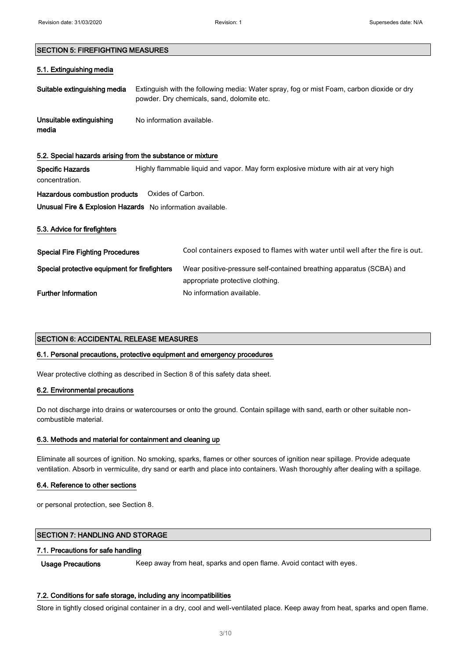## SECTION 5: FIREFIGHTING MEASURES

#### 5.1. Extinguishing media

| Suitable extinguishing media                               |                           | Extinguish with the following media: Water spray, fog or mist Foam, carbon dioxide or dry<br>powder. Dry chemicals, sand, dolomite etc. |
|------------------------------------------------------------|---------------------------|-----------------------------------------------------------------------------------------------------------------------------------------|
| Unsuitable extinguishing<br>media                          | No information available. |                                                                                                                                         |
| 5.2. Special hazards arising from the substance or mixture |                           |                                                                                                                                         |
| <b>Specific Hazards</b><br>concentration.                  |                           | Highly flammable liquid and vapor. May form explosive mixture with air at very high                                                     |
| Hazardous combustion products                              | Oxides of Carbon.         |                                                                                                                                         |
| Unusual Fire & Explosion Hazards No information available. |                           |                                                                                                                                         |
| 5.3. Advice for firefighters                               |                           |                                                                                                                                         |
| <b>Special Fire Fighting Procedures</b>                    |                           | Cool containers exposed to flames with water until well after the fire is out.                                                          |
| Special protective equipment for firefighters              |                           | Wear positive-pressure self-contained breathing apparatus (SCBA) and<br>appropriate protective clothing.                                |
| <b>Further Information</b>                                 |                           | No information available.                                                                                                               |

#### SECTION 6: ACCIDENTAL RELEASE MEASURES

## 6.1. Personal precautions, protective equipment and emergency procedures

Wear protective clothing as described in Section 8 of this safety data sheet.

#### 6.2. Environmental precautions

Do not discharge into drains or watercourses or onto the ground. Contain spillage with sand, earth or other suitable noncombustible material.

#### 6.3. Methods and material for containment and cleaning up

Eliminate all sources of ignition. No smoking, sparks, flames or other sources of ignition near spillage. Provide adequate ventilation. Absorb in vermiculite, dry sand or earth and place into containers. Wash thoroughly after dealing with a spillage.

#### 6.4. Reference to other sections

or personal protection, see Section 8.

## SECTION 7: HANDLING AND STORAGE

#### 7.1. Precautions for safe handling

Usage Precautions Keep away from heat, sparks and open flame. Avoid contact with eyes.

#### 7.2. Conditions for safe storage, including any incompatibilities

Store in tightly closed original container in a dry, cool and well-ventilated place. Keep away from heat, sparks and open flame.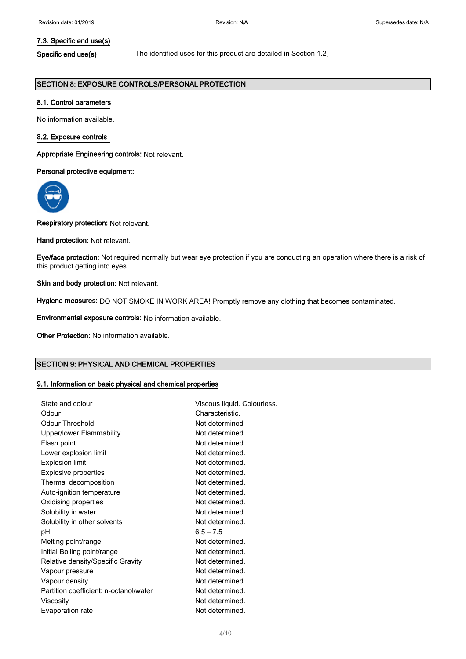## 7.3. Specific end use(s)

Specific end use(s) The identified uses for this product are detailed in Section 1.2.

## SECTION 8: EXPOSURE CONTROLS/PERSONAL PROTECTION

#### 8.1. Control parameters

No information available.

#### 8.2. Exposure controls

Appropriate Engineering controls: Not relevant.

#### Personal protective equipment:



Ī

٦

Respiratory protection: Not relevant.

Hand protection: Not relevant.

Eye/face protection: Not required normally but wear eye protection if you are conducting an operation where there is a risk of this product getting into eyes.

Skin and body protection: Not relevant.

Hygiene measures: DO NOT SMOKE IN WORK AREA! Promptly remove any clothing that becomes contaminated.

Environmental exposure controls: No information available.

Other Protection: No information available.

## SECTION 9: PHYSICAL AND CHEMICAL PROPERTIES

#### 9.1. Information on basic physical and chemical properties

| State and colour                       | Viscous liquid. Colourless. |
|----------------------------------------|-----------------------------|
| Odour                                  | Characteristic.             |
| Odour Threshold                        | Not determined              |
| Upper/lower Flammability               | Not determined.             |
| Flash point                            | Not determined.             |
| Lower explosion limit                  | Not determined.             |
| <b>Explosion limit</b>                 | Not determined.             |
| <b>Explosive properties</b>            | Not determined.             |
| Thermal decomposition                  | Not determined.             |
| Auto-ignition temperature              | Not determined.             |
| Oxidising properties                   | Not determined.             |
| Solubility in water                    | Not determined.             |
| Solubility in other solvents           | Not determined.             |
| рH                                     | $6.5 - 7.5$                 |
| Melting point/range                    | Not determined.             |
| Initial Boiling point/range            | Not determined.             |
| Relative density/Specific Gravity      | Not determined.             |
| Vapour pressure                        | Not determined.             |
| Vapour density                         | Not determined.             |
| Partition coefficient: n-octanol/water | Not determined.             |
| Viscosity                              | Not determined.             |
| Evaporation rate                       | Not determined.             |
|                                        |                             |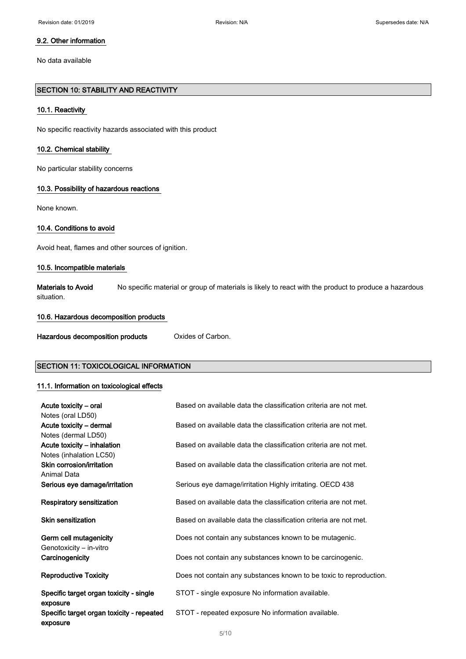#### 9.2. Other information

No data available

## SECTION 10: STABILITY AND REACTIVITY

#### 10.1. Reactivity

No specific reactivity hazards associated with this product

## 10.2. Chemical stability

No particular stability concerns

#### 10.3. Possibility of hazardous reactions

None known.

#### 10.4. Conditions to avoid

Avoid heat, flames and other sources of ignition.

#### 10.5. Incompatible materials

Materials to Avoid No specific material or group of materials is likely to react with the product to produce a hazardous situation.

### 10.6. Hazardous decomposition products

| Hazardous decomposition products<br>Oxides of Carbon. |
|-------------------------------------------------------|
|-------------------------------------------------------|

#### SECTION 11: TOXICOLOGICAL INFORMATION

#### 11.1. Information on toxicological effects

| Acute toxicity – oral                                 | Based on available data the classification criteria are not met.   |
|-------------------------------------------------------|--------------------------------------------------------------------|
| Notes (oral LD50)                                     |                                                                    |
| Acute toxicity - dermal                               | Based on available data the classification criteria are not met.   |
| Notes (dermal LD50)                                   |                                                                    |
| Acute toxicity – inhalation                           | Based on available data the classification criteria are not met.   |
| Notes (inhalation LC50)                               |                                                                    |
| Skin corrosion/irritation                             | Based on available data the classification criteria are not met.   |
| Animal Data                                           |                                                                    |
| Serious eye damage/irritation                         | Serious eye damage/irritation Highly irritating. OECD 438          |
| Respiratory sensitization                             | Based on available data the classification criteria are not met.   |
| <b>Skin sensitization</b>                             | Based on available data the classification criteria are not met.   |
| Germ cell mutagenicity                                | Does not contain any substances known to be mutagenic.             |
| Genotoxicity - in-vitro                               |                                                                    |
| Carcinogenicity                                       | Does not contain any substances known to be carcinogenic.          |
| <b>Reproductive Toxicity</b>                          | Does not contain any substances known to be toxic to reproduction. |
| Specific target organ toxicity - single<br>exposure   | STOT - single exposure No information available.                   |
| Specific target organ toxicity - repeated<br>exposure | STOT - repeated exposure No information available.                 |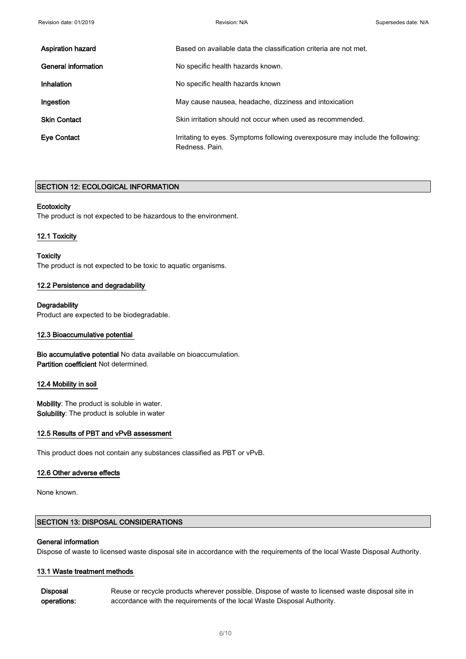| <b>Aspiration hazard</b>   | Based on available data the classification criteria are not met.                                 |
|----------------------------|--------------------------------------------------------------------------------------------------|
| <b>General information</b> | No specific health hazards known.                                                                |
| Inhalation                 | No specific health hazards known                                                                 |
| Ingestion                  | May cause nausea, headache, dizziness and intoxication                                           |
| <b>Skin Contact</b>        | Skin irritation should not occur when used as recommended.                                       |
| <b>Eye Contact</b>         | Irritating to eyes. Symptoms following overexposure may include the following:<br>Redness, Pain. |

#### SECTION 12: ECOLOGICAL INFORMATION

#### **Ecotoxicity**

The product is not expected to be hazardous to the environment.

#### 12.1 Toxicity

**Toxicity** The product is not expected to be toxic to aquatic organisms.

#### 12.2 Persistence and degradability

**Degradability** Product are expected to be biodegradable.

#### 12.3 Bioaccumulative potential

Bio accumulative potential No data available on bioaccumulation. Partition coefficient Not determined.

#### 12.4 Mobility in soil

Mobility: The product is soluble in water. Solubility: The product is soluble in water

#### 12.5 Results of PBT and vPvB assessment

This product does not contain any substances classified as PBT or vPvB.

#### 12.6 Other adverse effects

None known.

## SECTION 13: DISPOSAL CONSIDERATIONS

#### General information

Dispose of waste to licensed waste disposal site in accordance with the requirements of the local Waste Disposal Authority.

#### 13.1 Waste treatment methods

**Disposal** operations: Reuse or recycle products wherever possible. Dispose of waste to licensed waste disposal site in accordance with the requirements of the local Waste Disposal Authority.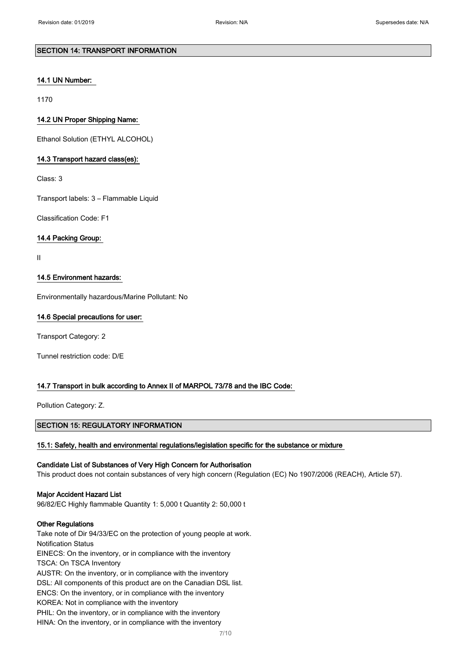#### SECTION 14: TRANSPORT INFORMATION

#### 14.1 UN Number:

1170

 $\overline{a}$ 

#### 14.2 UN Proper Shipping Name:

Ethanol Solution (ETHYL ALCOHOL)

## 14.3 Transport hazard class(es):

Class: 3

Transport labels: 3 – Flammable Liquid

Classification Code: F1

### 14.4 Packing Group:

II

## 14.5 Environment hazards:

Environmentally hazardous/Marine Pollutant: No

#### 14.6 Special precautions for user:

Transport Category: 2

Tunnel restriction code: D/E

#### 14.7 Transport in bulk according to Annex II of MARPOL 73/78 and the IBC Code:

Pollution Category: Z.

#### SECTION 15: REGULATORY INFORMATION

#### 15.1: Safety, health and environmental regulations/legislation specific for the substance or mixture

Candidate List of Substances of Very High Concern for Authorisation

This product does not contain substances of very high concern (Regulation (EC) No 1907/2006 (REACH), Article 57).

#### Major Accident Hazard List

96/82/EC Highly flammable Quantity 1: 5,000 t Quantity 2: 50,000 t

#### Other Regulations

Take note of Dir 94/33/EC on the protection of young people at work. Notification Status EINECS: On the inventory, or in compliance with the inventory TSCA: On TSCA Inventory AUSTR: On the inventory, or in compliance with the inventory DSL: All components of this product are on the Canadian DSL list. ENCS: On the inventory, or in compliance with the inventory KOREA: Not in compliance with the inventory PHIL: On the inventory, or in compliance with the inventory HINA: On the inventory, or in compliance with the inventory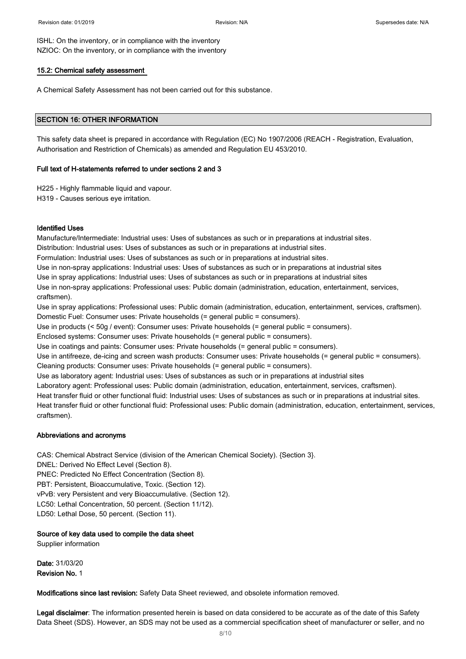ISHL: On the inventory, or in compliance with the inventory NZIOC: On the inventory, or in compliance with the inventory

#### 15.2: Chemical safety assessment

A Chemical Safety Assessment has not been carried out for this substance.

#### SECTION 16: OTHER INFORMATION

This safety data sheet is prepared in accordance with Regulation (EC) No 1907/2006 (REACH - Registration, Evaluation, Authorisation and Restriction of Chemicals) as amended and Regulation EU 453/2010.

#### Full text of H-statements referred to under sections 2 and 3

H225 - Highly flammable liquid and vapour.

H319 - Causes serious eye irritation.

#### Identified Uses

Manufacture/Intermediate: Industrial uses: Uses of substances as such or in preparations at industrial sites.

Distribution: Industrial uses: Uses of substances as such or in preparations at industrial sites.

Formulation: Industrial uses: Uses of substances as such or in preparations at industrial sites.

Use in non-spray applications: Industrial uses: Uses of substances as such or in preparations at industrial sites

Use in spray applications: Industrial uses: Uses of substances as such or in preparations at industrial sites

Use in non-spray applications: Professional uses: Public domain (administration, education, entertainment, services, craftsmen).

Use in spray applications: Professional uses: Public domain (administration, education, entertainment, services, craftsmen). Domestic Fuel: Consumer uses: Private households (= general public = consumers).

Use in products (< 50g / event): Consumer uses: Private households (= general public = consumers).

Enclosed systems: Consumer uses: Private households (= general public = consumers).

Use in coatings and paints: Consumer uses: Private households (= general public = consumers).

Use in antifreeze, de-icing and screen wash products: Consumer uses: Private households (= general public = consumers).

Cleaning products: Consumer uses: Private households (= general public = consumers).

Use as laboratory agent: Industrial uses: Uses of substances as such or in preparations at industrial sites

Laboratory agent: Professional uses: Public domain (administration, education, entertainment, services, craftsmen).

Heat transfer fluid or other functional fluid: Industrial uses: Uses of substances as such or in preparations at industrial sites. Heat transfer fluid or other functional fluid: Professional uses: Public domain (administration, education, entertainment, services, craftsmen).

### Abbreviations and acronyms

CAS: Chemical Abstract Service (division of the American Chemical Society). {Section 3}. DNEL: Derived No Effect Level (Section 8). PNEC: Predicted No Effect Concentration (Section 8). PBT: Persistent, Bioaccumulative, Toxic. (Section 12). vPvB: very Persistent and very Bioaccumulative. (Section 12). LC50: Lethal Concentration, 50 percent. (Section 11/12). LD50: Lethal Dose, 50 percent. (Section 11).

### Source of key data used to compile the data sheet

Supplier information

Date: 31/03/20 Revision No. 1

Modifications since last revision: Safety Data Sheet reviewed, and obsolete information removed.

Legal disclaimer: The information presented herein is based on data considered to be accurate as of the date of this Safety Data Sheet (SDS). However, an SDS may not be used as a commercial specification sheet of manufacturer or seller, and no